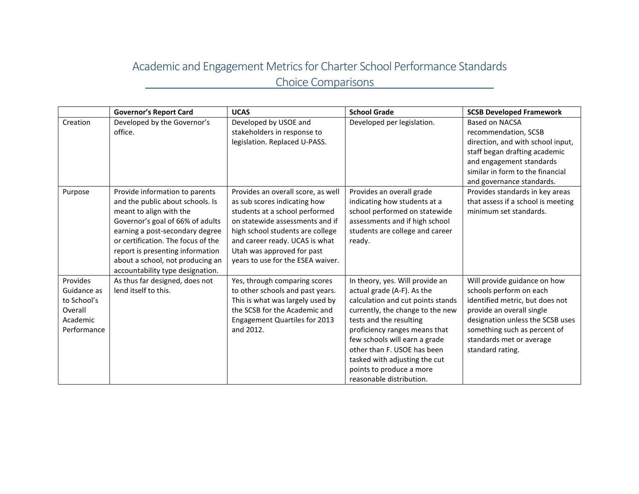## Academic and Engagement Metrics for Charter School Performance Standards Choice Comparisons

|                                                                              | <b>Governor's Report Card</b>                                                                                                                                                                                                                                                                                          | <b>UCAS</b>                                                                                                                                                                                                                                                                      | <b>School Grade</b>                                                                                                                                                                                                                                                                                                                                         | <b>SCSB Developed Framework</b>                                                                                                                                                                                                             |
|------------------------------------------------------------------------------|------------------------------------------------------------------------------------------------------------------------------------------------------------------------------------------------------------------------------------------------------------------------------------------------------------------------|----------------------------------------------------------------------------------------------------------------------------------------------------------------------------------------------------------------------------------------------------------------------------------|-------------------------------------------------------------------------------------------------------------------------------------------------------------------------------------------------------------------------------------------------------------------------------------------------------------------------------------------------------------|---------------------------------------------------------------------------------------------------------------------------------------------------------------------------------------------------------------------------------------------|
| Creation                                                                     | Developed by the Governor's<br>office.                                                                                                                                                                                                                                                                                 | Developed by USOE and<br>stakeholders in response to<br>legislation. Replaced U-PASS.                                                                                                                                                                                            | Developed per legislation.                                                                                                                                                                                                                                                                                                                                  | Based on NACSA<br>recommendation, SCSB<br>direction, and with school input,<br>staff began drafting academic<br>and engagement standards<br>similar in form to the financial<br>and governance standards.                                   |
| Purpose                                                                      | Provide information to parents<br>and the public about schools. Is<br>meant to align with the<br>Governor's goal of 66% of adults<br>earning a post-secondary degree<br>or certification. The focus of the<br>report is presenting information<br>about a school, not producing an<br>accountability type designation. | Provides an overall score, as well<br>as sub scores indicating how<br>students at a school performed<br>on statewide assessments and if<br>high school students are college<br>and career ready. UCAS is what<br>Utah was approved for past<br>years to use for the ESEA waiver. | Provides an overall grade<br>indicating how students at a<br>school performed on statewide<br>assessments and if high school<br>students are college and career<br>ready.                                                                                                                                                                                   | Provides standards in key areas<br>that assess if a school is meeting<br>minimum set standards.                                                                                                                                             |
| Provides<br>Guidance as<br>to School's<br>Overall<br>Academic<br>Performance | As thus far designed, does not<br>lend itself to this.                                                                                                                                                                                                                                                                 | Yes, through comparing scores<br>to other schools and past years.<br>This is what was largely used by<br>the SCSB for the Academic and<br><b>Engagement Quartiles for 2013</b><br>and 2012.                                                                                      | In theory, yes. Will provide an<br>actual grade (A-F). As the<br>calculation and cut points stands<br>currently, the change to the new<br>tests and the resulting<br>proficiency ranges means that<br>few schools will earn a grade<br>other than F. USOE has been<br>tasked with adjusting the cut<br>points to produce a more<br>reasonable distribution. | Will provide guidance on how<br>schools perform on each<br>identified metric, but does not<br>provide an overall single<br>designation unless the SCSB uses<br>something such as percent of<br>standards met or average<br>standard rating. |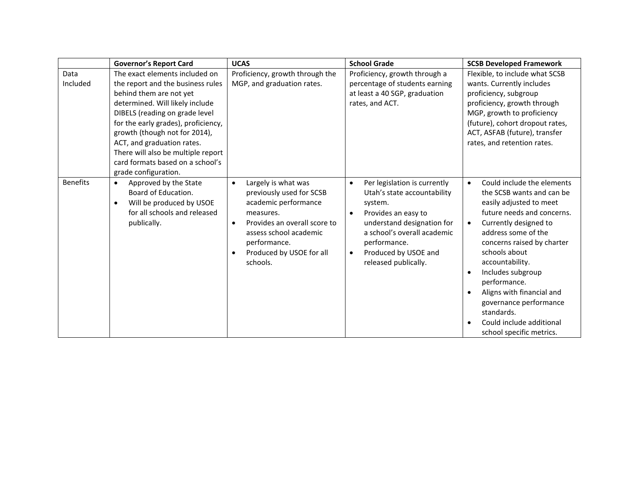|                  | <b>Governor's Report Card</b>                                                                                                                                                                                                                                                                                                                                               | <b>UCAS</b>                                                                                                                                                                                                                                   | <b>School Grade</b>                                                                                                                                                                                                                                               | <b>SCSB Developed Framework</b>                                                                                                                                                                                                                                                                                                                                                                                                |
|------------------|-----------------------------------------------------------------------------------------------------------------------------------------------------------------------------------------------------------------------------------------------------------------------------------------------------------------------------------------------------------------------------|-----------------------------------------------------------------------------------------------------------------------------------------------------------------------------------------------------------------------------------------------|-------------------------------------------------------------------------------------------------------------------------------------------------------------------------------------------------------------------------------------------------------------------|--------------------------------------------------------------------------------------------------------------------------------------------------------------------------------------------------------------------------------------------------------------------------------------------------------------------------------------------------------------------------------------------------------------------------------|
| Data<br>Included | The exact elements included on<br>the report and the business rules<br>behind them are not yet<br>determined. Will likely include<br>DIBELS (reading on grade level<br>for the early grades), proficiency,<br>growth (though not for 2014),<br>ACT, and graduation rates.<br>There will also be multiple report<br>card formats based on a school's<br>grade configuration. | Proficiency, growth through the<br>MGP, and graduation rates.                                                                                                                                                                                 | Proficiency, growth through a<br>percentage of students earning<br>at least a 40 SGP, graduation<br>rates, and ACT.                                                                                                                                               | Flexible, to include what SCSB<br>wants. Currently includes<br>proficiency, subgroup<br>proficiency, growth through<br>MGP, growth to proficiency<br>(future), cohort dropout rates,<br>ACT, ASFAB (future), transfer<br>rates, and retention rates.                                                                                                                                                                           |
| <b>Benefits</b>  | Approved by the State<br>$\bullet$<br>Board of Education.<br>Will be produced by USOE<br>$\bullet$<br>for all schools and released<br>publically.                                                                                                                                                                                                                           | Largely is what was<br>$\bullet$<br>previously used for SCSB<br>academic performance<br>measures.<br>Provides an overall score to<br>$\bullet$<br>assess school academic<br>performance.<br>Produced by USOE for all<br>$\bullet$<br>schools. | Per legislation is currently<br>$\bullet$<br>Utah's state accountability<br>system.<br>Provides an easy to<br>$\bullet$<br>understand designation for<br>a school's overall academic<br>performance.<br>Produced by USOE and<br>$\bullet$<br>released publically. | Could include the elements<br>$\bullet$<br>the SCSB wants and can be<br>easily adjusted to meet<br>future needs and concerns.<br>Currently designed to<br>address some of the<br>concerns raised by charter<br>schools about<br>accountability.<br>Includes subgroup<br>$\bullet$<br>performance.<br>Aligns with financial and<br>governance performance<br>standards.<br>Could include additional<br>school specific metrics. |